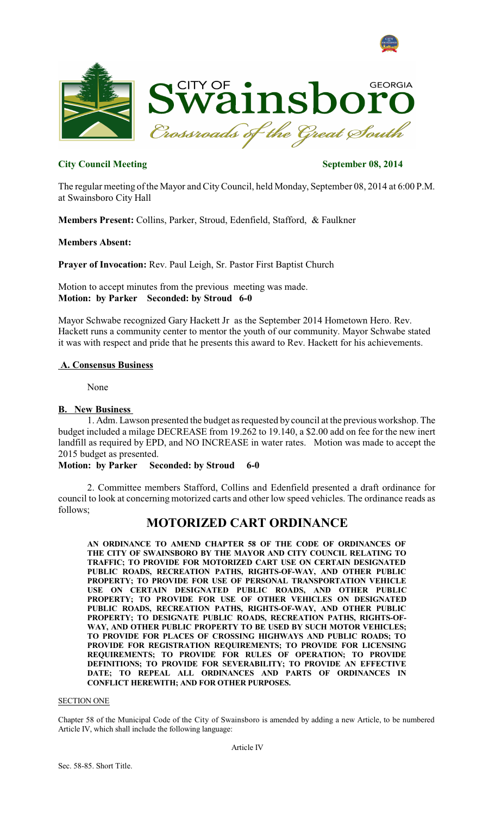



# **City Council Meeting September 08, 2014**

The regular meeting of the Mayor and CityCouncil, held Monday, September 08, 2014 at 6:00 P.M. at Swainsboro City Hall

**Members Present:** Collins, Parker, Stroud, Edenfield, Stafford, & Faulkner

**Members Absent:**

**Prayer of Invocation:** Rev. Paul Leigh, Sr. Pastor First Baptist Church

Motion to accept minutes from the previous meeting was made. **Motion: by Parker Seconded: by Stroud 6-0**

Mayor Schwabe recognized Gary Hackett Jr as the September 2014 Hometown Hero. Rev. Hackett runs a community center to mentor the youth of our community. Mayor Schwabe stated it was with respect and pride that he presents this award to Rev. Hackett for his achievements.

# **A. Consensus Business**

None

# **B. New Business**

1. Adm. Lawson presented the budget as requested by council at the previous workshop. The budget included a milage DECREASE from 19.262 to 19.140, a \$2.00 add on fee for the new inert landfill as required by EPD, and NO INCREASE in water rates. Motion was made to accept the 2015 budget as presented.

## **Motion: by Parker Seconded: by Stroud 6-0**

2. Committee members Stafford, Collins and Edenfield presented a draft ordinance for council to look at concerning motorized carts and other low speed vehicles. The ordinance reads as follows;

# **MOTORIZED CART ORDINANCE**

**AN ORDINANCE TO AMEND CHAPTER 58 OF THE CODE OF ORDINANCES OF THE CITY OF SWAINSBORO BY THE MAYOR AND CITY COUNCIL RELATING TO TRAFFIC; TO PROVIDE FOR MOTORIZED CART USE ON CERTAIN DESIGNATED PUBLIC ROADS, RECREATION PATHS, RIGHTS-OF-WAY, AND OTHER PUBLIC PROPERTY; TO PROVIDE FOR USE OF PERSONAL TRANSPORTATION VEHICLE USE ON CERTAIN DESIGNATED PUBLIC ROADS, AND OTHER PUBLIC PROPERTY; TO PROVIDE FOR USE OF OTHER VEHICLES ON DESIGNATED PUBLIC ROADS, RECREATION PATHS, RIGHTS-OF-WAY, AND OTHER PUBLIC PROPERTY; TO DESIGNATE PUBLIC ROADS, RECREATION PATHS, RIGHTS-OF-WAY, AND OTHER PUBLIC PROPERTY TO BE USED BY SUCH MOTOR VEHICLES; TO PROVIDE FOR PLACES OF CROSSING HIGHWAYS AND PUBLIC ROADS; TO PROVIDE FOR REGISTRATION REQUIREMENTS; TO PROVIDE FOR LICENSING REQUIREMENTS; TO PROVIDE FOR RULES OF OPERATION; TO PROVIDE DEFINITIONS; TO PROVIDE FOR SEVERABILITY; TO PROVIDE AN EFFECTIVE DATE; TO REPEAL ALL ORDINANCES AND PARTS OF ORDINANCES IN CONFLICT HEREWITH; AND FOR OTHER PURPOSES.**

### SECTION ONE

Chapter 58 of the Municipal Code of the City of Swainsboro is amended by adding a new Article, to be numbered Article IV, which shall include the following language: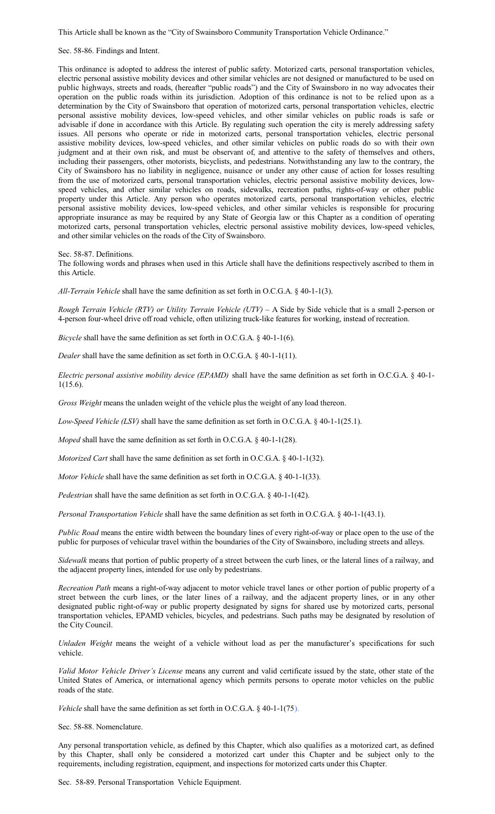This Article shall be known as the "City of Swainsboro Community Transportation Vehicle Ordinance."

Sec. 58-86. Findings and Intent.

This ordinance is adopted to address the interest of public safety. Motorized carts, personal transportation vehicles, electric personal assistive mobility devices and other similar vehicles are not designed or manufactured to be used on public highways, streets and roads, (hereafter "public roads") and the City of Swainsboro in no way advocates their operation on the public roads within its jurisdiction. Adoption of this ordinance is not to be relied upon as a determination by the City of Swainsboro that operation of motorized carts, personal transportation vehicles, electric personal assistive mobility devices, low-speed vehicles, and other similar vehicles on public roads is safe or advisable if done in accordance with this Article. By regulating such operation the city is merely addressing safety issues. All persons who operate or ride in motorized carts, personal transportation vehicles, electric personal assistive mobility devices, low-speed vehicles, and other similar vehicles on public roads do so with their own judgment and at their own risk, and must be observant of, and attentive to the safety of themselves and others, including their passengers, other motorists, bicyclists, and pedestrians. Notwithstanding any law to the contrary, the City of Swainsboro has no liability in negligence, nuisance or under any other cause of action for losses resulting from the use of motorized carts, personal transportation vehicles, electric personal assistive mobility devices, lowspeed vehicles, and other similar vehicles on roads, sidewalks, recreation paths, rights-of-way or other public property under this Article. Any person who operates motorized carts, personal transportation vehicles, electric personal assistive mobility devices, low-speed vehicles, and other similar vehicles is responsible for procuring appropriate insurance as may be required by any State of Georgia law or this Chapter as a condition of operating motorized carts, personal transportation vehicles, electric personal assistive mobility devices, low-speed vehicles, and other similar vehicles on the roads of the City of Swainsboro.

Sec. 58-87. Definitions.

The following words and phrases when used in this Article shall have the definitions respectively ascribed to them in this Article.

*All-Terrain Vehicle* shall have the same definition as set forth in O.C.G.A. § 40-1-1(3).

*Rough Terrain Vehicle (RTV) or Utility Terrain Vehicle (UTV) –* A Side by Side vehicle that is a small 2-person or 4-person four-wheel drive off road vehicle, often utilizing truck-like features for working, instead of recreation.

*Bicycle* shall have the same definition as set forth in O.C.G.A. § 40-1-1(6).

*Dealer* shall have the same definition as set forth in O.C.G.A. § 40-1-1(11).

*Electric personal assistive mobility device (EPAMD)* shall have the same definition as set forth in O.C.G.A. § 40-1- 1(15.6).

*Gross Weight* means the unladen weight of the vehicle plus the weight of any load thereon.

*Low-Speed Vehicle (LSV)* shall have the same definition as set forth in O.C.G.A. § 40-1-1(25.1).

*Moped* shall have the same definition as set forth in O.C.G.A. § 40-1-1(28).

*Motorized Cart* shall have the same definition as set forth in O.C.G.A. § 40-1-1(32).

*Motor Vehicle* shall have the same definition as set forth in O.C.G.A. § 40-1-1(33).

*Pedestrian* shall have the same definition as set forth in O.C.G.A. § 40-1-1(42).

*Personal Transportation Vehicle* shall have the same definition as set forth in O.C.G.A. § 40-1-1(43.1).

*Public Road* means the entire width between the boundary lines of every right-of-way or place open to the use of the public for purposes of vehicular travel within the boundaries of the City of Swainsboro, including streets and alleys.

*Sidewalk* means that portion of public property of a street between the curb lines, or the lateral lines of a railway, and the adjacent property lines, intended for use only by pedestrians.

*Recreation Path* means a right-of-way adjacent to motor vehicle travel lanes or other portion of public property of a street between the curb lines, or the later lines of a railway, and the adjacent property lines, or in any other designated public right-of-way or public property designated by signs for shared use by motorized carts, personal transportation vehicles, EPAMD vehicles, bicycles, and pedestrians. Such paths may be designated by resolution of the City Council.

*Unladen Weight* means the weight of a vehicle without load as per the manufacturer's specifications for such vehicle.

*Valid Motor Vehicle Driver's License* means any current and valid certificate issued by the state, other state of the United States of America, or international agency which permits persons to operate motor vehicles on the public roads of the state.

*Vehicle* shall have the same definition as set forth in O.C.G.A. § 40-1-1(75).

Sec. 58-88. Nomenclature.

Any personal transportation vehicle, as defined by this Chapter, which also qualifies as a motorized cart, as defined by this Chapter, shall only be considered a motorized cart under this Chapter and be subject only to the requirements, including registration, equipment, and inspections for motorized carts under this Chapter.

Sec. 58-89. Personal Transportation Vehicle Equipment.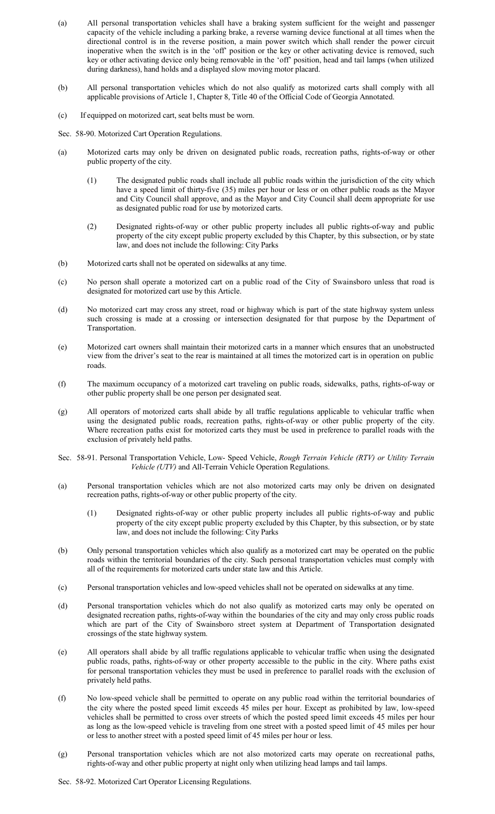- (a) All personal transportation vehicles shall have a braking system sufficient for the weight and passenger capacity of the vehicle including a parking brake, a reverse warning device functional at all times when the directional control is in the reverse position, a main power switch which shall render the power circuit inoperative when the switch is in the 'off' position or the key or other activating device is removed, such key or other activating device only being removable in the 'off' position, head and tail lamps (when utilized during darkness), hand holds and a displayed slow moving motor placard.
- (b) All personal transportation vehicles which do not also qualify as motorized carts shall comply with all applicable provisions of Article 1, Chapter 8, Title 40 of the Official Code of Georgia Annotated.
- (c) If equipped on motorized cart, seat belts must be worn.
- Sec. 58-90. Motorized Cart Operation Regulations.
- (a) Motorized carts may only be driven on designated public roads, recreation paths, rights-of-way or other public property of the city.
	- (1) The designated public roads shall include all public roads within the jurisdiction of the city which have a speed limit of thirty-five (35) miles per hour or less or on other public roads as the Mayor and City Council shall approve, and as the Mayor and City Council shall deem appropriate for use as designated public road for use by motorized carts.
	- (2) Designated rights-of-way or other public property includes all public rights-of-way and public property of the city except public property excluded by this Chapter, by this subsection, or by state law, and does not include the following: City Parks
- (b) Motorized carts shall not be operated on sidewalks at any time.
- (c) No person shall operate a motorized cart on a public road of the City of Swainsboro unless that road is designated for motorized cart use by this Article.
- (d) No motorized cart may cross any street, road or highway which is part of the state highway system unless such crossing is made at a crossing or intersection designated for that purpose by the Department of Transportation.
- (e) Motorized cart owners shall maintain their motorized carts in a manner which ensures that an unobstructed view from the driver's seat to the rear is maintained at all times the motorized cart is in operation on public roads.
- (f) The maximum occupancy of a motorized cart traveling on public roads, sidewalks, paths, rights-of-way or other public property shall be one person per designated seat.
- (g) All operators of motorized carts shall abide by all traffic regulations applicable to vehicular traffic when using the designated public roads, recreation paths, rights-of-way or other public property of the city. Where recreation paths exist for motorized carts they must be used in preference to parallel roads with the exclusion of privately held paths.
- Sec. 58-91. Personal Transportation Vehicle, Low- Speed Vehicle, *Rough Terrain Vehicle (RTV) or Utility Terrain Vehicle (UTV)* and All-Terrain Vehicle Operation Regulations.
- (a) Personal transportation vehicles which are not also motorized carts may only be driven on designated recreation paths, rights-of-way or other public property of the city.
	- (1) Designated rights-of-way or other public property includes all public rights-of-way and public property of the city except public property excluded by this Chapter, by this subsection, or by state law, and does not include the following: City Parks
- (b) Only personal transportation vehicles which also qualify as a motorized cart may be operated on the public roads within the territorial boundaries of the city. Such personal transportation vehicles must comply with all of the requirements for motorized carts under state law and this Article.
- (c) Personal transportation vehicles and low-speed vehicles shall not be operated on sidewalks at any time.
- (d) Personal transportation vehicles which do not also qualify as motorized carts may only be operated on designated recreation paths, rights-of-way within the boundaries of the city and may only cross public roads which are part of the City of Swainsboro street system at Department of Transportation designated crossings of the state highway system.
- (e) All operators shall abide by all traffic regulations applicable to vehicular traffic when using the designated public roads, paths, rights-of-way or other property accessible to the public in the city. Where paths exist for personal transportation vehicles they must be used in preference to parallel roads with the exclusion of privately held paths.
- (f) No low-speed vehicle shall be permitted to operate on any public road within the territorial boundaries of the city where the posted speed limit exceeds 45 miles per hour. Except as prohibited by law, low-speed vehicles shall be permitted to cross over streets of which the posted speed limit exceeds 45 miles per hour as long as the low-speed vehicle is traveling from one street with a posted speed limit of 45 miles per hour or less to another street with a posted speed limit of 45 miles per hour or less.
- (g) Personal transportation vehicles which are not also motorized carts may operate on recreational paths, rights-of-way and other public property at night only when utilizing head lamps and tail lamps.
- Sec. 58-92. Motorized Cart Operator Licensing Regulations.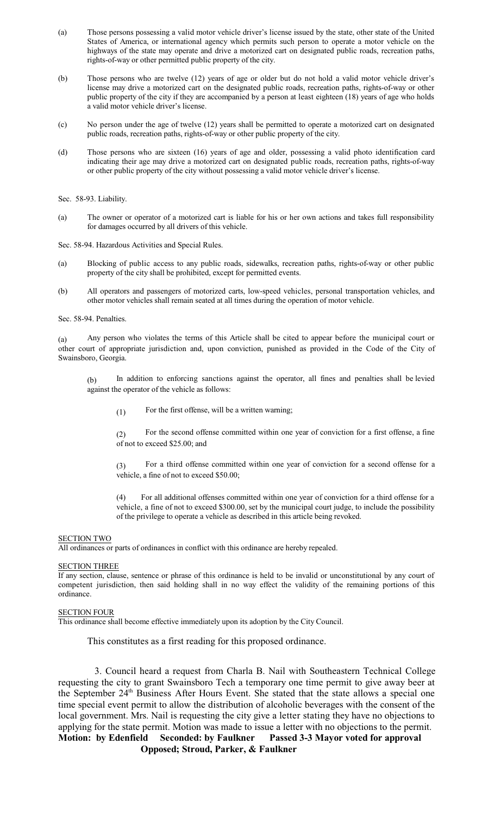- (a) Those persons possessing a valid motor vehicle driver's license issued by the state, other state of the United States of America, or international agency which permits such person to operate a motor vehicle on the highways of the state may operate and drive a motorized cart on designated public roads, recreation paths, rights-of-way or other permitted public property of the city.
- (b) Those persons who are twelve (12) years of age or older but do not hold a valid motor vehicle driver's license may drive a motorized cart on the designated public roads, recreation paths, rights-of-way or other public property of the city if they are accompanied by a person at least eighteen (18) years of age who holds a valid motor vehicle driver's license.
- (c) No person under the age of twelve (12) years shall be permitted to operate a motorized cart on designated public roads, recreation paths, rights-of-way or other public property of the city.
- (d) Those persons who are sixteen (16) years of age and older, possessing a valid photo identification card indicating their age may drive a motorized cart on designated public roads, recreation paths, rights-of-way or other public property of the city without possessing a valid motor vehicle driver's license.

Sec. 58-93. Liability.

(a) The owner or operator of a motorized cart is liable for his or her own actions and takes full responsibility for damages occurred by all drivers of this vehicle.

Sec. 58-94. Hazardous Activities and Special Rules.

- (a) Blocking of public access to any public roads, sidewalks, recreation paths, rights-of-way or other public property of the city shall be prohibited, except for permitted events.
- (b) All operators and passengers of motorized carts, low-speed vehicles, personal transportation vehicles, and other motor vehicles shall remain seated at all times during the operation of motor vehicle.

Sec. 58-94. Penalties.

(a) Any person who violates the terms of this Article shall be cited to appear before the municipal court or other court of appropriate jurisdiction and, upon conviction, punished as provided in the Code of the City of Swainsboro, Georgia.

(b) In addition to enforcing sanctions against the operator, all fines and penalties shall be levied against the operator of the vehicle as follows:

 $(1)$  For the first offense, will be a written warning;

(2) For the second offense committed within one year of conviction for a first offense, a fine of not to exceed \$25.00; and

(3) For a third offense committed within one year of conviction for a second offense for a vehicle, a fine of not to exceed \$50.00;

(4) For all additional offenses committed within one year of conviction for a third offense for a vehicle, a fine of not to exceed \$300.00, set by the municipal court judge, to include the possibility of the privilege to operate a vehicle as described in this article being revoked.

#### SECTION TWO

All ordinances or parts of ordinances in conflict with this ordinance are hereby repealed.

#### SECTION THREE

If any section, clause, sentence or phrase of this ordinance is held to be invalid or unconstitutional by any court of competent jurisdiction, then said holding shall in no way effect the validity of the remaining portions of this ordinance.

### SECTION FOUR

This ordinance shall become effective immediately upon its adoption by the City Council.

This constitutes as a first reading for this proposed ordinance.

3. Council heard a request from Charla B. Nail with Southeastern Technical College requesting the city to grant Swainsboro Tech a temporary one time permit to give away beer at the September 24<sup>th</sup> Business After Hours Event. She stated that the state allows a special one time special event permit to allow the distribution of alcoholic beverages with the consent of the local government. Mrs. Nail is requesting the city give a letter stating they have no objections to applying for the state permit. Motion was made to issue a letter with no objections to the permit. **Motion: by Edenfield Seconded: by Faulkner Passed 3-3 Mayor voted for approval Opposed; Stroud, Parker, & Faulkner**